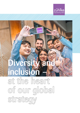

## Versy inclusion

at the heart of our global strategy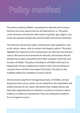### Policy manifest

This policy manifests Zühlke's commitment to diversity and inclusion. Diversity has many aspects that are all important for us. This policy covers diversity and inclusion with respect to gender, age, religion, race, social and cognitive background, physical ability and sexual orientation.

This diversity and inclusion policy complements other guidelines, such as the culture, values, code of conduct and integrity polices. This policy highlights the importance and communicates our diversity and inclusion culture. We present the framework for diversity and inclusion that we already have in place and outline the further evolution of diversity and inclusion at Zühlke. The policy is binding for all Zühlke staff and is an integral part of every employment contract. Every person joining our company must commit to and support the policy. The policy is also available publicly for candidates as well as clients.

Diverse teams outperform homogeneous teams. At Zühlke, we have long known that only as a team can we outperform the competition and achieve the best for our clients. We believe that a highly diverse and especially cognitively diverse workforce as well as an inclusive culture enable us to utilise our full potential. They are undisputed conditions for our longterm success.

2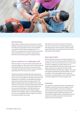

### D&I positioning

We promote a culture and an environment in which people are valued for their performance and contribution. We give equal opportunity to excel at Zühlke irrespective of their diverse background. For us diversity is a business driver that increases our performance and therefore we consider advancing our diversity and inclusion agenda a strategic priority.

### Diverse workforce for a challenging world

We know that in a service business only people will make the difference. We want to attract and retain the best people. Best for us means the ones that share our values and aspirations and are ready to go above and beyond for the success of our clients.

People must feel psychologically safe and speak up when they feel they want to and need to. We cultivate discourse and value different opinions. We expect our employees to contribute, to take different perspectives and to question what is already in place. The different backgrounds and orientations must never influence who we hire, develop and promote. We must increase our awareness on unconscious biases and focus uncompromisingly on individual behaviour, contribution, and performance. Mutual support, kindness and cordiality, respect, professional behaviour are non-negotiable. We are tough in the matter, but always humanly convincing.

We believe in the value of all types of diversity. Our near-term focus is on improving gender, race, and age diversity. This focus does not mean other types of diversity are less important. We strive for all people to feel included.

### Equal opportunities

We hire the best person for the job. In doing so, we ensure that we have the best possible diversity in our workforce. In the recruitment process, we consciously look to strengthen ourselves where we are underrepresented. We want to be able to tap into as large a talent pool as possible and not exclude individuals based on gender, age, religion, race, social and cognitive background, physical ability or sexual orientation. The same applies when it comes to promotion and development of our staff. Everybody is invited to apply for an internal opportunity.

### Leadership

Our leaders are required to share and support our ambitions and drive the diversity agenda in their areas of responsibility. This means creating an environment where people feel safe and included, encouraged to speak up, different opinions are valued and considered when making decisions and above all, our leaders genuinely must aim to be mindful and overcome biases.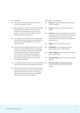### **Prerequisites**

- We define annual goals and measures to drive our diversity agenda forward.
- **We are guided by the 70% rule. We do everything** so that we can put together mixed teams. It is important to us that we aim to ensure that no group or level has more than 70% of the same gender, nationality, or age group.
- $\blacksquare$  It is mandatory that every person involved in the recruitment of new colleagues has completed an interview training that addresses the topic of unconscious bias.
- $\blacksquare$  The annual salary and promotion process in each location must meet D&I minimum requirements. These are: Calibration rounds moderated by HR or an independent person, evaluation of D&I metrics prior to acceptance of final budgets (e.g. average raise per gender, promotion rate per gender, average length of stay per gender at the respective grade).
- $\blacksquare$  Each Zühlke company prepares an annual diversity report for the attention of the Board of Directors.
- Each Zühlke company must conduct an equal pay analysis at least every two years. The results must be included in the diversity report of the corresponding year. If diversity effects are identified, measures must be taken immediately.

### Our goals – the agenda

- **Baseline:** measure the diversity in all Zühlke Group Companies
- $\blacksquare$  **Gender:** increase the number of women in general
- **Processes:** rework and adjust our process and ensure consistency with our policy (recruiting, development, salary, promotion, vendor/ partner selection, staffing, talent management, succession etc.)
- Origin: increase the cultural diversity
- Leadership: our own quota (e.g. at least 30 % women in Excos, GEX, Boards)
- Teams/staffing: represent diversity of clients, ensure mixed teams
- **Internal projects:** ensure diversity in internal projects
- External vendors /ecosystem partners: request D&I policy from all vendors and partners